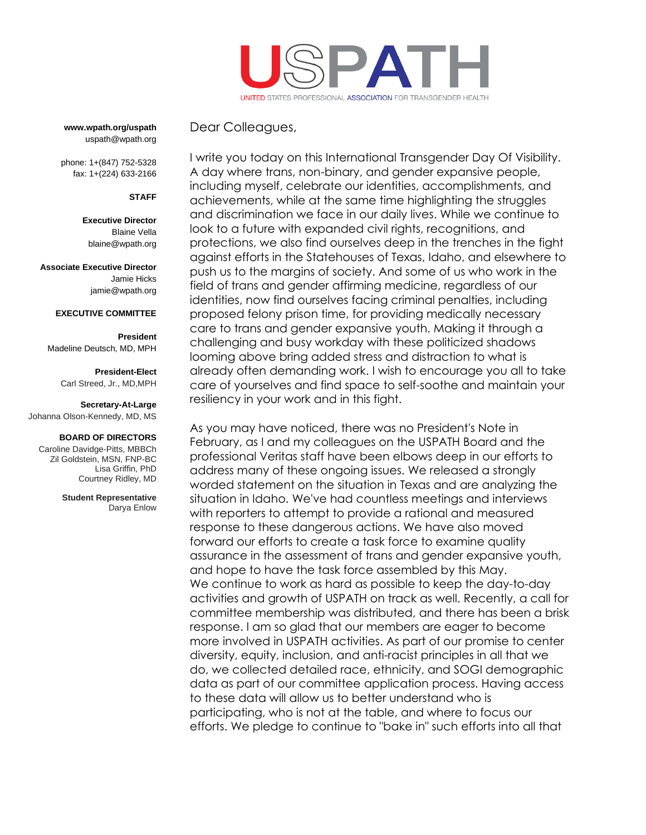

**www.wpath.org/uspath** uspath@wpath.org

phone: 1+(847) 752-5328 fax: 1+(224) 633-2166

# **STAFF**

**Executive Director** Blaine Vella [blaine@wpath.org](mailto:blaine@wpath.org)

**Associate Executive Director** Jamie Hicks jamie@wpath.org

### **EXECUTIVE COMMITTEE**

**President** Madeline Deutsch, MD, MPH

> **President-Elect** Carl Streed, Jr., MD,MPH

### **Secretary-At-Large**

Johanna Olson-Kennedy, MD, MS

#### **BOARD OF DIRECTORS**

Caroline Davidge-Pitts, MBBCh Zil Goldstein, MSN, FNP-BC Lisa Griffin, PhD Courtney Ridley, MD

> **Student Representative** Darya Enlow

Dear Colleagues,

I write you today on this International Transgender Day Of Visibility. A day where trans, non-binary, and gender expansive people, including myself, celebrate our identities, accomplishments, and achievements, while at the same time highlighting the struggles and discrimination we face in our daily lives. While we continue to look to a future with expanded civil rights, recognitions, and protections, we also find ourselves deep in the trenches in the fight against efforts in the Statehouses of Texas, Idaho, and elsewhere to push us to the margins of society. And some of us who work in the field of trans and gender affirming medicine, regardless of our identities, now find ourselves facing criminal penalties, including proposed felony prison time, for providing medically necessary care to trans and gender expansive youth. Making it through a challenging and busy workday with these politicized shadows looming above bring added stress and distraction to what is already often demanding work. I wish to encourage you all to take care of yourselves and find space to self-soothe and maintain your resiliency in your work and in this fight.

As you may have noticed, there was no President's Note in February, as I and my colleagues on the USPATH Board and the professional Veritas staff have been elbows deep in our efforts to address many of these ongoing issues. We released a strongly worded statement on the situation in Texas and are analyzing the situation in Idaho. We've had countless meetings and interviews with reporters to attempt to provide a rational and measured response to these dangerous actions. We have also moved forward our efforts to create a task force to examine quality assurance in the assessment of trans and gender expansive youth, and hope to have the task force assembled by this May. We continue to work as hard as possible to keep the day-to-day activities and growth of USPATH on track as well. Recently, a call for committee membership was distributed, and there has been a brisk response. I am so glad that our members are eager to become more involved in USPATH activities. As part of our promise to center diversity, equity, inclusion, and anti-racist principles in all that we do, we collected detailed race, ethnicity, and SOGI demographic data as part of our committee application process. Having access to these data will allow us to better understand who is participating, who is not at the table, and where to focus our efforts. We pledge to continue to "bake in" such efforts into all that